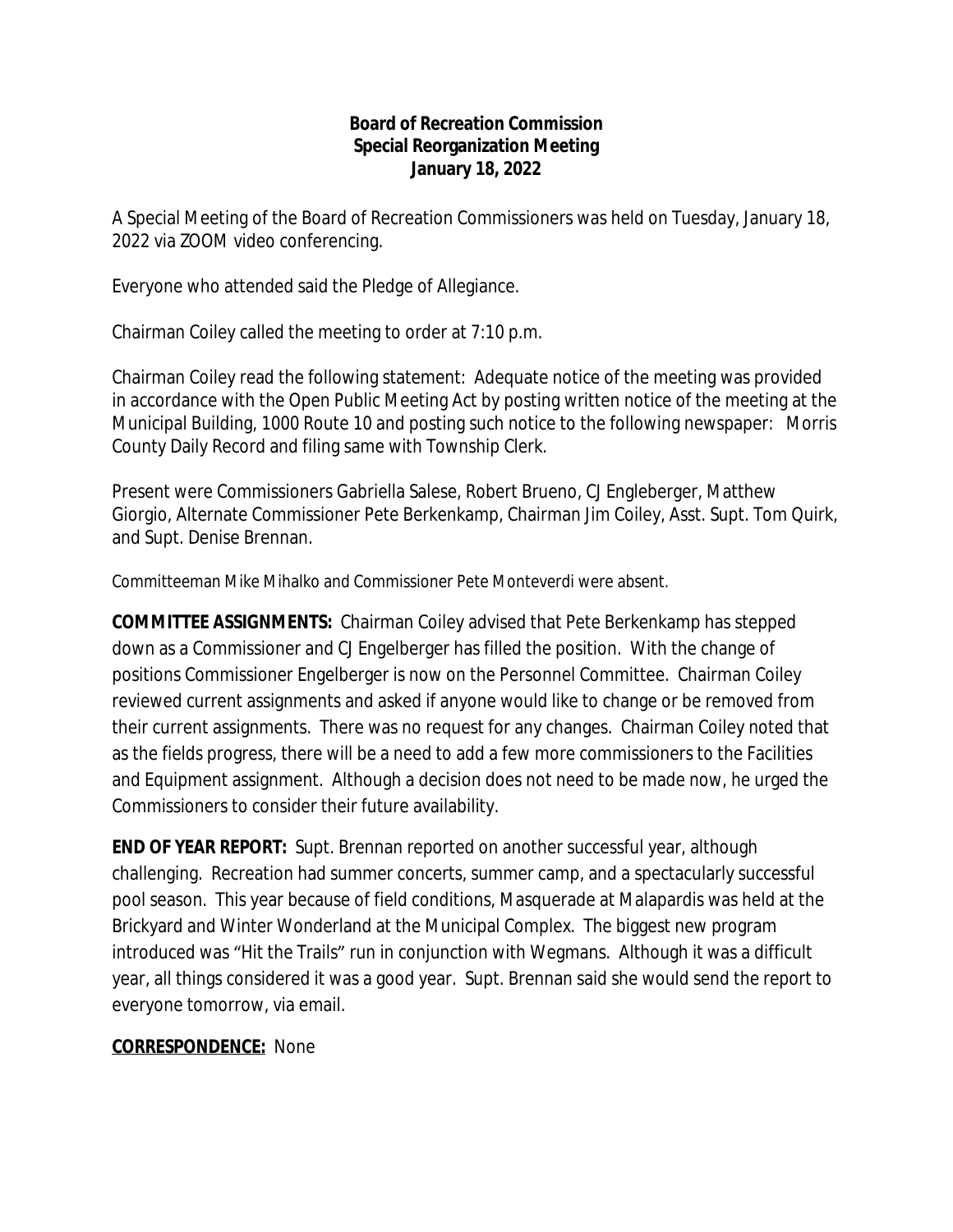### **Board of Recreation Commission Special Reorganization Meeting January 18, 2022**

A Special Meeting of the Board of Recreation Commissioners was held on Tuesday, January 18, 2022 via ZOOM video conferencing.

Everyone who attended said the Pledge of Allegiance.

Chairman Coiley called the meeting to order at 7:10 p.m.

Chairman Coiley read the following statement: Adequate notice of the meeting was provided in accordance with the Open Public Meeting Act by posting written notice of the meeting at the Municipal Building, 1000 Route 10 and posting such notice to the following newspaper: Morris County Daily Record and filing same with Township Clerk.

Present were Commissioners Gabriella Salese, Robert Brueno, CJ Engleberger, Matthew Giorgio, Alternate Commissioner Pete Berkenkamp, Chairman Jim Coiley, Asst. Supt. Tom Quirk, and Supt. Denise Brennan.

Committeeman Mike Mihalko and Commissioner Pete Monteverdi were absent.

**COMMITTEE ASSIGNMENTS:** Chairman Coiley advised that Pete Berkenkamp has stepped down as a Commissioner and CJ Engelberger has filled the position. With the change of positions Commissioner Engelberger is now on the Personnel Committee. Chairman Coiley reviewed current assignments and asked if anyone would like to change or be removed from their current assignments. There was no request for any changes. Chairman Coiley noted that as the fields progress, there will be a need to add a few more commissioners to the Facilities and Equipment assignment. Although a decision does not need to be made now, he urged the Commissioners to consider their future availability.

**END OF YEAR REPORT:** Supt. Brennan reported on another successful year, although challenging. Recreation had summer concerts, summer camp, and a spectacularly successful pool season. This year because of field conditions, Masquerade at Malapardis was held at the Brickyard and Winter Wonderland at the Municipal Complex. The biggest new program introduced was "Hit the Trails" run in conjunction with Wegmans. Although it was a difficult year, all things considered it was a good year. Supt. Brennan said she would send the report to everyone tomorrow, via email.

## **CORRESPONDENCE:** None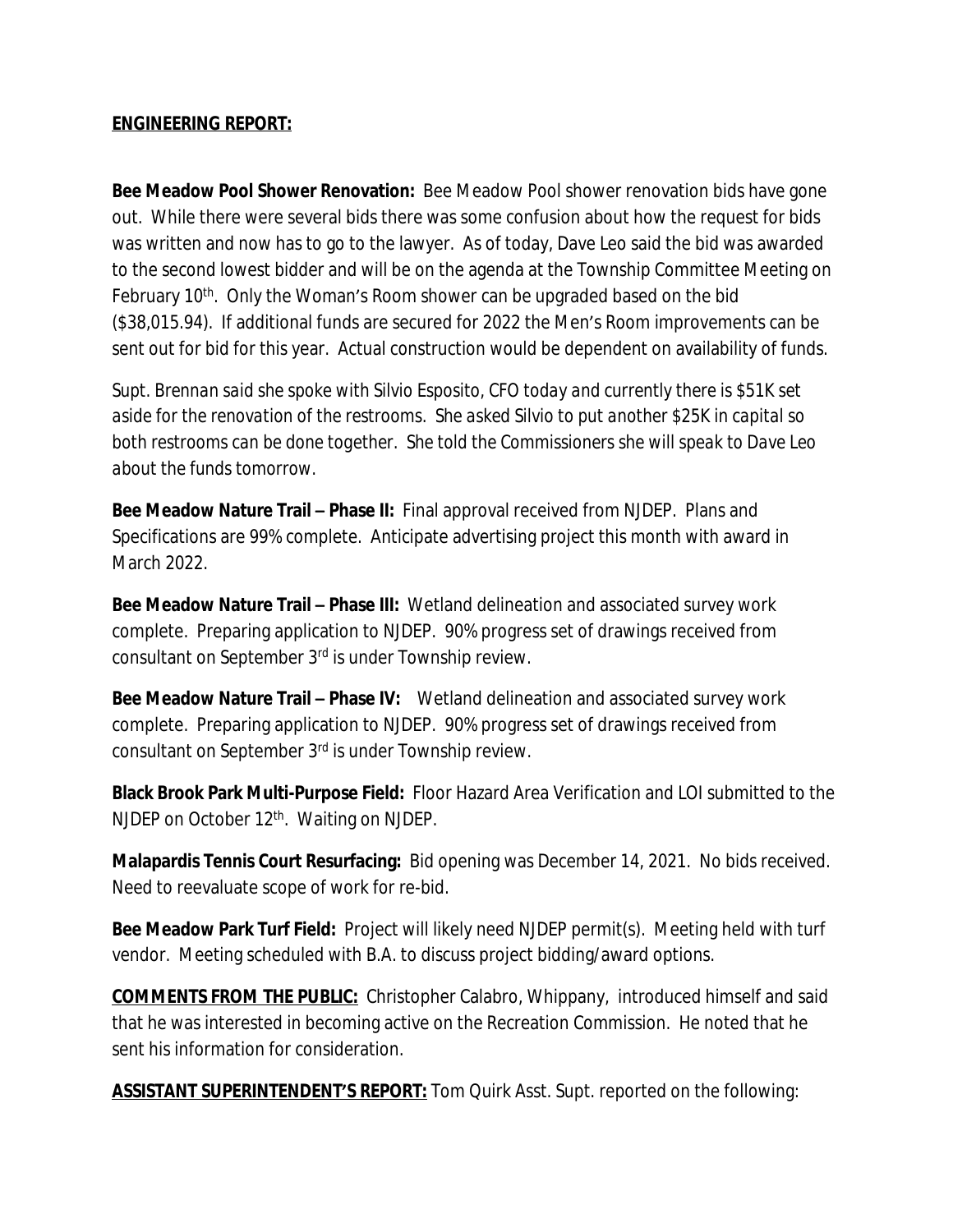### **ENGINEERING REPORT:**

**Bee Meadow Pool Shower Renovation:** Bee Meadow Pool shower renovation bids have gone out. While there were several bids there was some confusion about how the request for bids was written and now has to go to the lawyer. As of today, Dave Leo said the bid was awarded to the second lowest bidder and will be on the agenda at the Township Committee Meeting on February 10<sup>th</sup>. Only the Woman's Room shower can be upgraded based on the bid (\$38,015.94). If additional funds are secured for 2022 the Men's Room improvements can be sent out for bid for this year. Actual construction would be dependent on availability of funds.

*Supt. Brennan said she spoke with Silvio Esposito, CFO today and currently there is \$51K set aside for the renovation of the restrooms. She asked Silvio to put another \$25K in capital so both restrooms can be done together. She told the Commissioners she will speak to Dave Leo about the funds tomorrow.*

**Bee Meadow Nature Trail – Phase II:** Final approval received from NJDEP. Plans and Specifications are 99% complete. Anticipate advertising project this month with award in March 2022.

**Bee Meadow Nature Trail – Phase III:** Wetland delineation and associated survey work complete. Preparing application to NJDEP. 90% progress set of drawings received from consultant on September 3rd is under Township review.

**Bee Meadow Nature Trail – Phase IV:** Wetland delineation and associated survey work complete. Preparing application to NJDEP. 90% progress set of drawings received from consultant on September 3rd is under Township review.

**Black Brook Park Multi-Purpose Field:** Floor Hazard Area Verification and LOI submitted to the NJDEP on October 12th. Waiting on NJDEP.

**Malapardis Tennis Court Resurfacing:** Bid opening was December 14, 2021. No bids received. Need to reevaluate scope of work for re-bid.

**Bee Meadow Park Turf Field:** Project will likely need NJDEP permit(s). Meeting held with turf vendor. Meeting scheduled with B.A. to discuss project bidding/award options.

**COMMENTS FROM THE PUBLIC:** Christopher Calabro, Whippany, introduced himself and said that he was interested in becoming active on the Recreation Commission. He noted that he sent his information for consideration.

**ASSISTANT SUPERINTENDENT'S REPORT:** Tom Quirk Asst. Supt. reported on the following: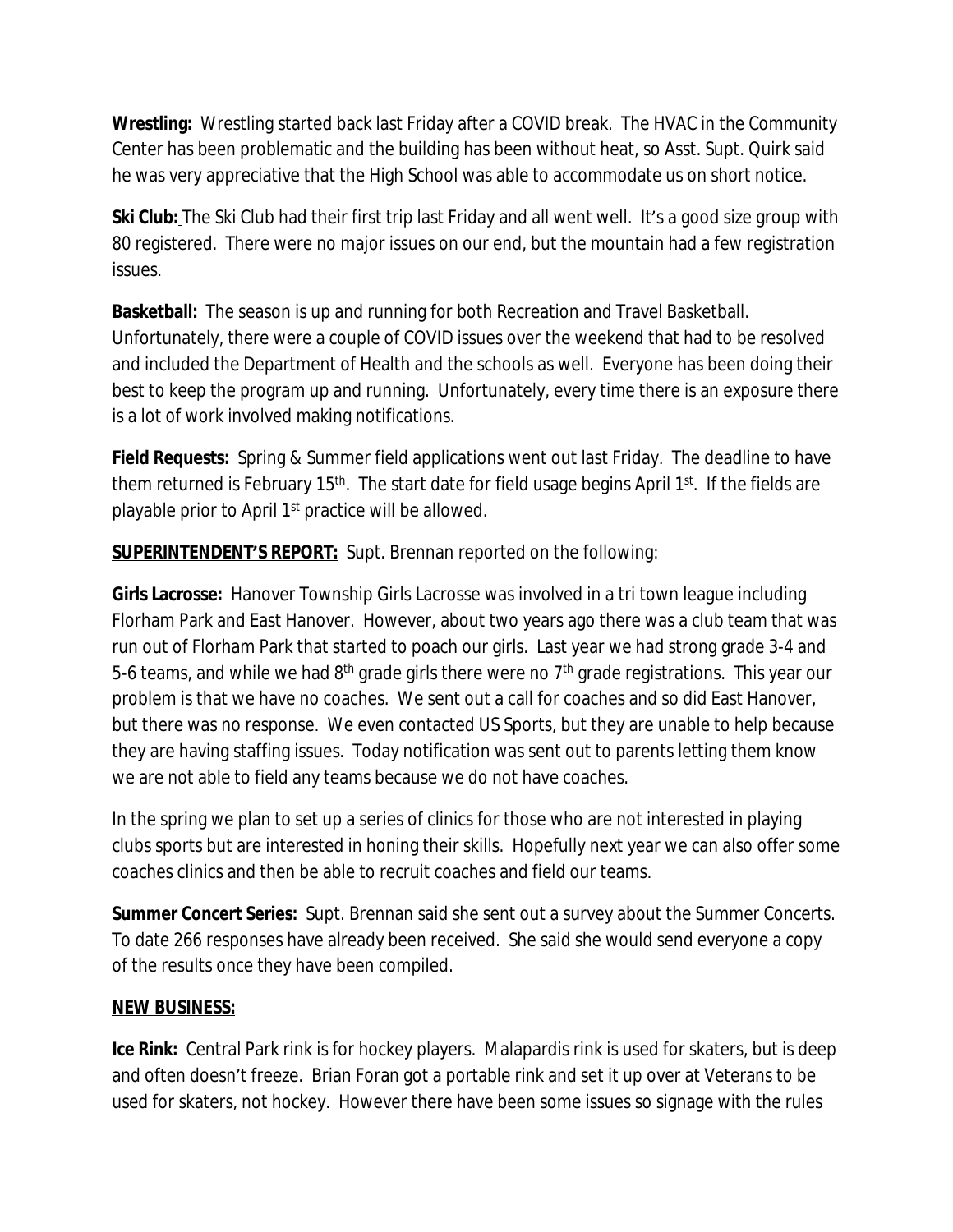**Wrestling:** Wrestling started back last Friday after a COVID break. The HVAC in the Community Center has been problematic and the building has been without heat, so Asst. Supt. Quirk said he was very appreciative that the High School was able to accommodate us on short notice.

**Ski Club:** The Ski Club had their first trip last Friday and all went well. It's a good size group with 80 registered. There were no major issues on our end, but the mountain had a few registration issues.

**Basketball:** The season is up and running for both Recreation and Travel Basketball. Unfortunately, there were a couple of COVID issues over the weekend that had to be resolved and included the Department of Health and the schools as well. Everyone has been doing their best to keep the program up and running. Unfortunately, every time there is an exposure there is a lot of work involved making notifications.

**Field Requests:** Spring & Summer field applications went out last Friday. The deadline to have them returned is February 15<sup>th</sup>. The start date for field usage begins April 1<sup>st</sup>. If the fields are playable prior to April 1<sup>st</sup> practice will be allowed.

**SUPERINTENDENT'S REPORT:** Supt. Brennan reported on the following:

**Girls Lacrosse:** Hanover Township Girls Lacrosse was involved in a tri town league including Florham Park and East Hanover. However, about two years ago there was a club team that was run out of Florham Park that started to poach our girls. Last year we had strong grade 3-4 and 5-6 teams, and while we had 8<sup>th</sup> grade girls there were no 7<sup>th</sup> grade registrations. This year our problem is that we have no coaches. We sent out a call for coaches and so did East Hanover, but there was no response. We even contacted US Sports, but they are unable to help because they are having staffing issues. Today notification was sent out to parents letting them know we are not able to field any teams because we do not have coaches.

In the spring we plan to set up a series of clinics for those who are not interested in playing clubs sports but are interested in honing their skills. Hopefully next year we can also offer some coaches clinics and then be able to recruit coaches and field our teams.

**Summer Concert Series:** Supt. Brennan said she sent out a survey about the Summer Concerts. To date 266 responses have already been received. She said she would send everyone a copy of the results once they have been compiled.

# **NEW BUSINESS:**

**Ice Rink:** Central Park rink is for hockey players. Malapardis rink is used for skaters, but is deep and often doesn't freeze. Brian Foran got a portable rink and set it up over at Veterans to be used for skaters, not hockey. However there have been some issues so signage with the rules